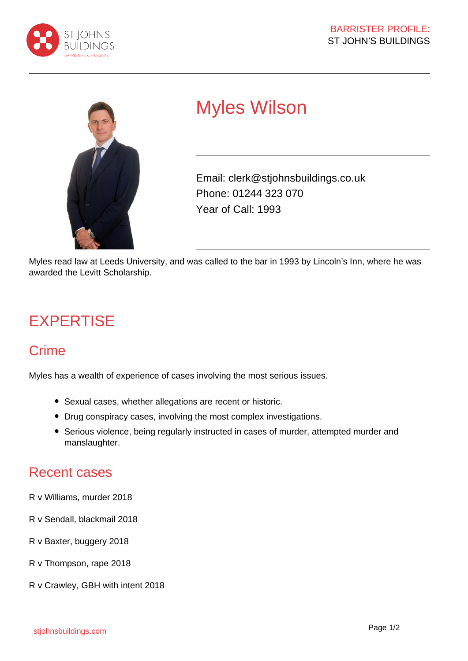



## Myles Wilson

Email: clerk@stjohnsbuildings.co.uk Phone: 01244 323 070 Year of Call: 1993

Myles read law at Leeds University, and was called to the bar in 1993 by Lincoln's Inn, where he was awarded the Levitt Scholarship.

## **EXPERTISE**

## Crime

Myles has a wealth of experience of cases involving the most serious issues.

- Sexual cases, whether allegations are recent or historic.
- Drug conspiracy cases, involving the most complex investigations.
- Serious violence, being regularly instructed in cases of murder, attempted murder and manslaughter.

## Recent cases

- R v Williams, murder 2018
- R v Sendall, blackmail 2018
- R v Baxter, buggery 2018
- R v Thompson, rape 2018
- R v Crawley, GBH with intent 2018